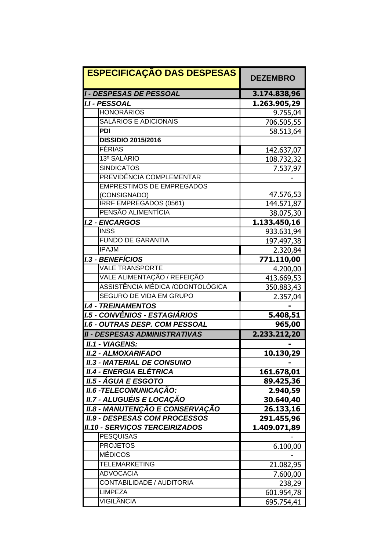| <b>ESPECIFICAÇÃO DAS DESPESAS</b>      | <b>DEZEMBRO</b> |
|----------------------------------------|-----------------|
| <b>I - DESPESAS DE PESSOAL</b>         | 3.174.838,96    |
| <b>I.I - PESSOAL</b>                   | 1.263.905,29    |
| <b>HONORÁRIOS</b>                      | 9.755,04        |
| SALÁRIOS E ADICIONAIS                  | 706.505,55      |
| <b>PDI</b>                             | 58.513,64       |
| <b>DISSIDIO 2015/2016</b>              |                 |
| FÉRIAS                                 | 142.637,07      |
| 13º SALÁRIO                            | 108.732,32      |
| <b>SINDICATOS</b>                      | 7.537,97        |
| PREVIDÊNCIA COMPLEMENTAR               |                 |
| <b>EMPRESTIMOS DE EMPREGADOS</b>       |                 |
| (CONSIGNADO)                           | 47.576,53       |
| IRRF EMPREGADOS (0561)                 | 144.571,87      |
| PENSÃO ALIMENTÍCIA                     | 38.075,30       |
| <b>I.2 - ENCARGOS</b>                  | 1.133.450,16    |
| <b>INSS</b>                            | 933.631,94      |
| <b>FUNDO DE GARANTIA</b>               | 197.497,38      |
| <b>IPAJM</b>                           | 2.320,84        |
| <b>I.3 - BENEFÍCIOS</b>                | 771.110,00      |
| <b>VALE TRANSPORTE</b>                 | 4.200,00        |
| VALE ALIMENTAÇÃO / REFEIÇÃO            | 413.669,53      |
| ASSISTÊNCIA MÉDICA /ODONTOLÓGICA       | 350.883,43      |
| <b>SEGURO DE VIDA EM GRUPO</b>         | 2.357,04        |
| <b>I.4 - TREINAMENTOS</b>              |                 |
| <b>I.5 - CONVÊNIOS - ESTAGIÁRIOS</b>   | 5.408,51        |
| <b>I.6 - OUTRAS DESP. COM PESSOAL</b>  | 965,00          |
| <b>II - DESPESAS ADMINISTRATIVAS</b>   | 2.233.212,20    |
| <b>II.1 - VIAGENS:</b>                 |                 |
| <b>II.2 - ALMOXARIFADO</b>             | 10.130,29       |
| <b>II.3 - MATERIAL DE CONSUMO</b>      |                 |
| II.4 - ENERGIA ELÉTRICA                | 161.678,01      |
| <b>II.5 - ÁGUA E ESGOTO</b>            | 89.425,36       |
| <b>II.6 -TELECOMUNICAÇÃO:</b>          | 2.940,59        |
| II.7 - ALUGUÉIS E LOCAÇÃO              | 30.640,40       |
| <b>II.8 - MANUTENÇÃO E CONSERVAÇÃO</b> | 26.133,16       |
| <b>II.9 - DESPESAS COM PROCESSOS</b>   | 291.455,96      |
| <b>II.10 - SERVIÇOS TERCEIRIZADOS</b>  | 1.409.071,89    |
| <b>PESQUISAS</b>                       |                 |
| <b>PROJETOS</b>                        | 6.100,00        |
| <b>MÉDICOS</b>                         |                 |
| <b>TELEMARKETING</b>                   | 21.082,95       |
| <b>ADVOCACIA</b>                       | 7.600,00        |
| CONTABILIDADE / AUDITORIA              | 238,29          |
| <b>LIMPEZA</b>                         | 601.954,78      |
| VIGILÂNCIA                             | 695.754,41      |